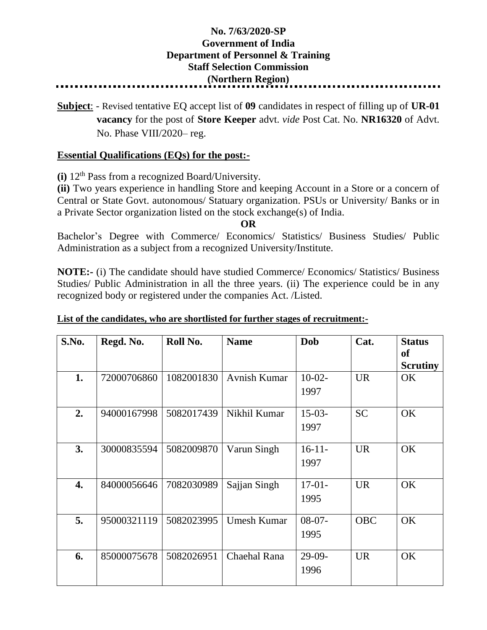## **No. 7/63/2020-SP Government of India Department of Personnel & Training Staff Selection Commission (Northern Region)**

**Subject**: - Revised tentative EQ accept list of **09** candidates in respect of filling up of **UR-01 vacancy** for the post of **Store Keeper** advt. *vide* Post Cat. No. **NR16320** of Advt. No. Phase VIII/2020– reg.

## **Essential Qualifications (EQs) for the post:-**

**(i)** 12th Pass from a recognized Board/University.

**(ii)** Two years experience in handling Store and keeping Account in a Store or a concern of Central or State Govt. autonomous/ Statuary organization. PSUs or University/ Banks or in a Private Sector organization listed on the stock exchange(s) of India.

**OR**

Bachelor's Degree with Commerce/ Economics/ Statistics/ Business Studies/ Public Administration as a subject from a recognized University/Institute.

**NOTE:-** (i) The candidate should have studied Commerce/ Economics/ Statistics/ Business Studies/ Public Administration in all the three years. (ii) The experience could be in any recognized body or registered under the companies Act. /Listed.

| S.No. | Regd. No.   | Roll No.   | <b>Name</b>        | Dob              | Cat.       | <b>Status</b><br>of<br><b>Scrutiny</b> |
|-------|-------------|------------|--------------------|------------------|------------|----------------------------------------|
| 1.    | 72000706860 | 1082001830 | Avnish Kumar       | $10-02-$<br>1997 | <b>UR</b>  | OK                                     |
| 2.    | 94000167998 | 5082017439 | Nikhil Kumar       | $15-03-$<br>1997 | <b>SC</b>  | OK                                     |
| 3.    | 30000835594 | 5082009870 | Varun Singh        | $16-11-$<br>1997 | <b>UR</b>  | OK                                     |
| 4.    | 84000056646 | 7082030989 | Sajjan Singh       | $17-01-$<br>1995 | <b>UR</b>  | OK                                     |
| 5.    | 95000321119 | 5082023995 | <b>Umesh Kumar</b> | $08-07-$<br>1995 | <b>OBC</b> | OK                                     |
| 6.    | 85000075678 | 5082026951 | Chaehal Rana       | $29-09-$<br>1996 | <b>UR</b>  | OK                                     |

## **List of the candidates, who are shortlisted for further stages of recruitment:-**